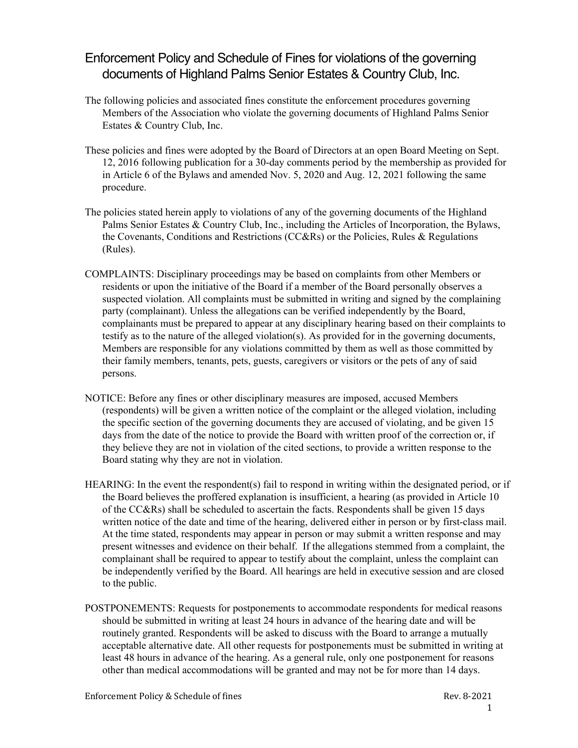## Enforcement Policy and Schedule of Fines for violations of the governing documents of Highland Palms Senior Estates & Country Club, Inc.

- The following policies and associated fines constitute the enforcement procedures governing Members of the Association who violate the governing documents of Highland Palms Senior Estates & Country Club, Inc.
- These policies and fines were adopted by the Board of Directors at an open Board Meeting on Sept. 12, 2016 following publication for a 30-day comments period by the membership as provided for in Article 6 of the Bylaws and amended Nov. 5, 2020 and Aug. 12, 2021 following the same procedure.
- The policies stated herein apply to violations of any of the governing documents of the Highland Palms Senior Estates & Country Club, Inc., including the Articles of Incorporation, the Bylaws, the Covenants, Conditions and Restrictions (CC&Rs) or the Policies, Rules & Regulations (Rules).
- COMPLAINTS: Disciplinary proceedings may be based on complaints from other Members or residents or upon the initiative of the Board if a member of the Board personally observes a suspected violation. All complaints must be submitted in writing and signed by the complaining party (complainant). Unless the allegations can be verified independently by the Board, complainants must be prepared to appear at any disciplinary hearing based on their complaints to testify as to the nature of the alleged violation(s). As provided for in the governing documents, Members are responsible for any violations committed by them as well as those committed by their family members, tenants, pets, guests, caregivers or visitors or the pets of any of said persons.
- NOTICE: Before any fines or other disciplinary measures are imposed, accused Members (respondents) will be given a written notice of the complaint or the alleged violation, including the specific section of the governing documents they are accused of violating, and be given 15 days from the date of the notice to provide the Board with written proof of the correction or, if they believe they are not in violation of the cited sections, to provide a written response to the Board stating why they are not in violation.
- HEARING: In the event the respondent(s) fail to respond in writing within the designated period, or if the Board believes the proffered explanation is insufficient, a hearing (as provided in Article 10 of the CC&Rs) shall be scheduled to ascertain the facts. Respondents shall be given 15 days written notice of the date and time of the hearing, delivered either in person or by first-class mail. At the time stated, respondents may appear in person or may submit a written response and may present witnesses and evidence on their behalf. If the allegations stemmed from a complaint, the complainant shall be required to appear to testify about the complaint, unless the complaint can be independently verified by the Board. All hearings are held in executive session and are closed to the public.
- POSTPONEMENTS: Requests for postponements to accommodate respondents for medical reasons should be submitted in writing at least 24 hours in advance of the hearing date and will be routinely granted. Respondents will be asked to discuss with the Board to arrange a mutually acceptable alternative date. All other requests for postponements must be submitted in writing at least 48 hours in advance of the hearing. As a general rule, only one postponement for reasons other than medical accommodations will be granted and may not be for more than 14 days.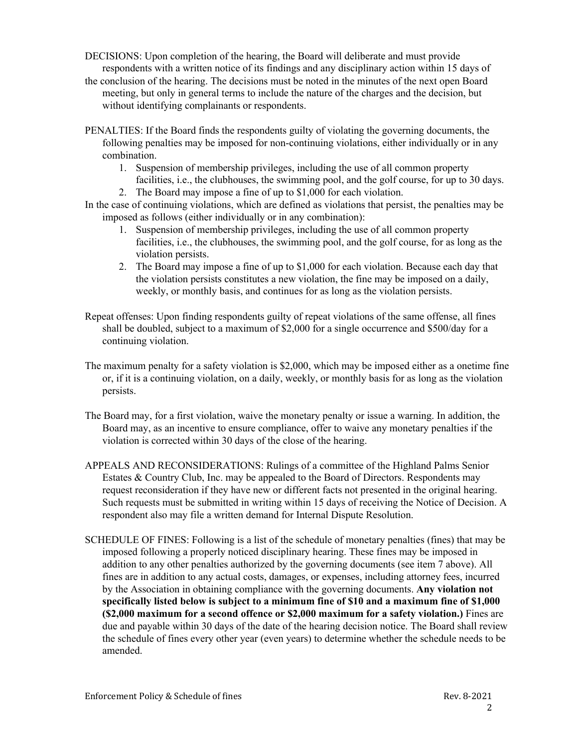- DECISIONS: Upon completion of the hearing, the Board will deliberate and must provide respondents with a written notice of its findings and any disciplinary action within 15 days of
- the conclusion of the hearing. The decisions must be noted in the minutes of the next open Board meeting, but only in general terms to include the nature of the charges and the decision, but without identifying complainants or respondents.
- PENALTIES: If the Board finds the respondents guilty of violating the governing documents, the following penalties may be imposed for non-continuing violations, either individually or in any combination.
	- 1. Suspension of membership privileges, including the use of all common property facilities, i.e., the clubhouses, the swimming pool, and the golf course, for up to 30 days.
	- 2. The Board may impose a fine of up to \$1,000 for each violation.
- In the case of continuing violations, which are defined as violations that persist, the penalties may be imposed as follows (either individually or in any combination):
	- 1. Suspension of membership privileges, including the use of all common property facilities, i.e., the clubhouses, the swimming pool, and the golf course, for as long as the violation persists.
	- 2. The Board may impose a fine of up to \$1,000 for each violation. Because each day that the violation persists constitutes a new violation, the fine may be imposed on a daily, weekly, or monthly basis, and continues for as long as the violation persists.
- Repeat offenses: Upon finding respondents guilty of repeat violations of the same offense, all fines shall be doubled, subject to a maximum of \$2,000 for a single occurrence and \$500/day for a continuing violation.
- The maximum penalty for a safety violation is \$2,000, which may be imposed either as a onetime fine or, if it is a continuing violation, on a daily, weekly, or monthly basis for as long as the violation persists.
- The Board may, for a first violation, waive the monetary penalty or issue a warning. In addition, the Board may, as an incentive to ensure compliance, offer to waive any monetary penalties if the violation is corrected within 30 days of the close of the hearing.
- APPEALS AND RECONSIDERATIONS: Rulings of a committee of the Highland Palms Senior Estates & Country Club, Inc. may be appealed to the Board of Directors. Respondents may request reconsideration if they have new or different facts not presented in the original hearing. Such requests must be submitted in writing within 15 days of receiving the Notice of Decision. A respondent also may file a written demand for Internal Dispute Resolution.
- SCHEDULE OF FINES: Following is a list of the schedule of monetary penalties (fines) that may be imposed following a properly noticed disciplinary hearing. These fines may be imposed in addition to any other penalties authorized by the governing documents (see item 7 above). All fines are in addition to any actual costs, damages, or expenses, including attorney fees, incurred by the Association in obtaining compliance with the governing documents. **Any violation not specifically listed below is subject to a minimum fine of \$10 and a maximum fine of \$1,000 (\$2,000 maximum for a second offence or \$2,000 maximum for a safety violation.)** Fines are due and payable within 30 days of the date of the hearing decision notice. The Board shall review the schedule of fines every other year (even years) to determine whether the schedule needs to be amended.